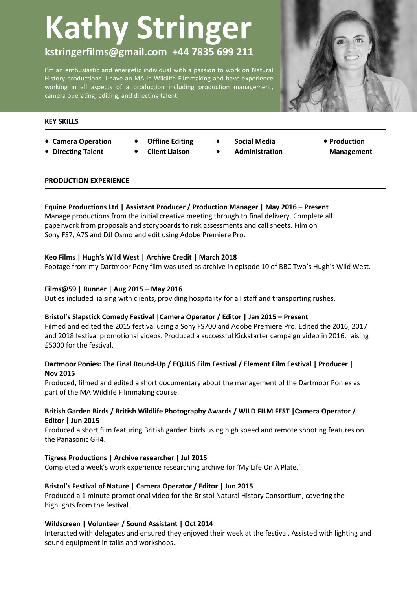# **Kathy Stringer**

# **kstringerfilms@gmail.com +44 7835 699 211**

I'm an enthusiastic and energetic individual with a passion to work on Natural History productions. I have an MA in Wildlife Filmmaking and have experience working in all aspects of a production including production management, camera operating, editing, and directing talent.



#### **KEY SKILLS**

- **• Camera Operation • Offline Editing**
- 
- 
- - **Client Liaison**
- **• Social Media • Production**
- **• Directing Talent • Client Liaison • Administration**
- **Management**

**Publishing**

#### **PRODUCTION EXPERIENCE**

# **Equine Productions Ltd | Assistant Producer / Production Manager | May 2016 – Present**

Manage productions from the initial creative meeting through to final delivery. Complete all paperwork from proposals and storyboards to risk assessments and call sheets. Film on Sony FS7, A7S and DJI Osmo and edit using Adobe Premiere Pro.

# **Keo Films | Hugh's Wild West | Archive Credit | March 2018**

Footage from my Dartmoor Pony film was used as archive in episode 10 of BBC Two's Hugh's Wild West.

# **Films@59 | Runner | Aug 2015 – May 2016**

Duties included liaising with clients, providing hospitality for all staff and transporting rushes.

#### **Bristol's Slapstick Comedy Festival |Camera Operator / Editor | Jan 2015 – Present**

Filmed and edited the 2015 festival using a Sony FS700 and Adobe Premiere Pro. Edited the 2016, 2017 and 2018 festival promotional videos. Produced a successful Kickstarter campaign video in 2016, raising £5000 for the festival.

# **Dartmoor Ponies: The Final Round-Up / EQUUS Film Festival / Element Film Festival | Producer | Nov 2015**

Produced, filmed and edited a short documentary about the management of the Dartmoor Ponies as part of the MA Wildlife Filmmaking course.

# **British Garden Birds / British Wildlife Photography Awards / WILD FILM FEST |Camera Operator / Editor | Jun 2015**

Produced a short film featuring British garden birds using high speed and remote shooting features on the Panasonic GH4.

# **Tigress Productions | Archive researcher | Jul 2015**

Completed a week's work experience researching archive for 'My Life On A Plate.'

# **Bristol's Festival of Nature | Camera Operator / Editor | Jun 2015**

Produced a 1 minute promotional video for the Bristol Natural History Consortium, covering the highlights from the festival.

# **Wildscreen | Volunteer / Sound Assistant | Oct 2014**

Interacted with delegates and ensured they enjoyed their week at the festival. Assisted with lighting and sound equipment in talks and workshops.